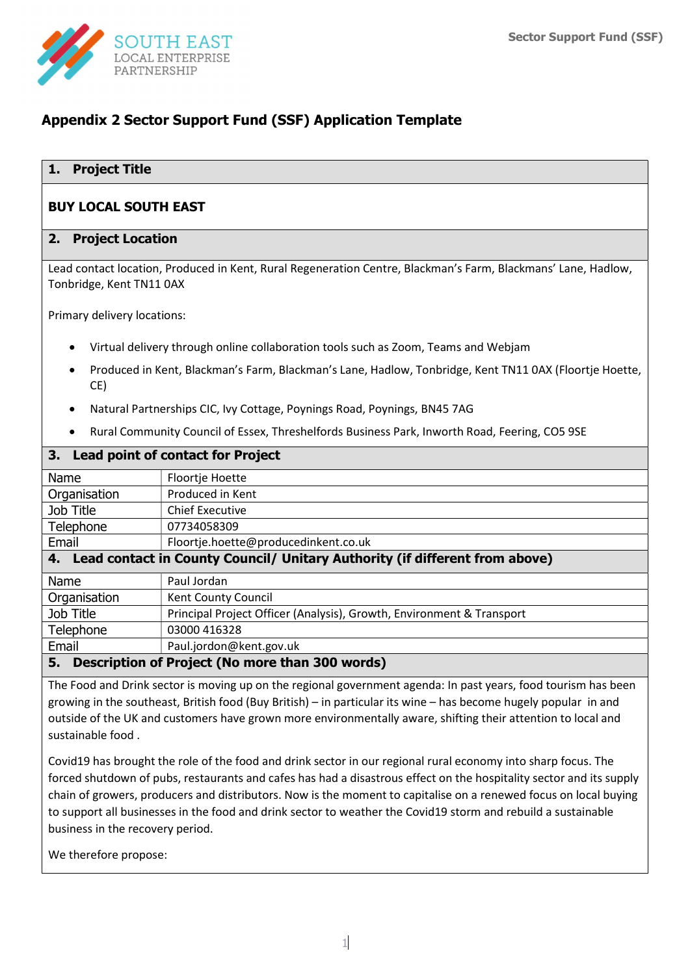

# Appendix 2 Sector Support Fund (SSF) Application Template

## 1. Project Title

## BUY LOCAL SOUTH EAST

#### 2. Project Location

Lead contact location, Produced in Kent, Rural Regeneration Centre, Blackman's Farm, Blackmans' Lane, Hadlow, Tonbridge, Kent TN11 0AX

Primary delivery locations:

- Virtual delivery through online collaboration tools such as Zoom, Teams and Webjam
- Produced in Kent, Blackman's Farm, Blackman's Lane, Hadlow, Tonbridge, Kent TN11 0AX (Floortje Hoette, CE)
- Natural Partnerships CIC, Ivy Cottage, Poynings Road, Poynings, BN45 7AG
- Rural Community Council of Essex, Threshelfords Business Park, Inworth Road, Feering, CO5 9SE

| <b>Lead point of contact for Project</b><br>3.7 |                                                                                |  |  |  |  |
|-------------------------------------------------|--------------------------------------------------------------------------------|--|--|--|--|
| Name                                            | Floortje Hoette                                                                |  |  |  |  |
| Organisation                                    | Produced in Kent                                                               |  |  |  |  |
| Job Title                                       | <b>Chief Executive</b>                                                         |  |  |  |  |
| Telephone                                       | 07734058309                                                                    |  |  |  |  |
| Email                                           | Floortje.hoette@producedinkent.co.uk                                           |  |  |  |  |
|                                                 | 4. Lead contact in County Council/ Unitary Authority (if different from above) |  |  |  |  |
| Name                                            | Paul Jordan                                                                    |  |  |  |  |
| Organisation                                    | Kent County Council                                                            |  |  |  |  |
| Job Title                                       | Principal Project Officer (Analysis), Growth, Environment & Transport          |  |  |  |  |
| Telephone                                       | 03000 416328                                                                   |  |  |  |  |
| Email                                           | Paul.jordon@kent.gov.uk                                                        |  |  |  |  |
| 5.                                              | Description of Project (No more than 300 words)                                |  |  |  |  |

The Food and Drink sector is moving up on the regional government agenda: In past years, food tourism has been growing in the southeast, British food (Buy British) – in particular its wine – has become hugely popular in and outside of the UK and customers have grown more environmentally aware, shifting their attention to local and sustainable food .

Covid19 has brought the role of the food and drink sector in our regional rural economy into sharp focus. The forced shutdown of pubs, restaurants and cafes has had a disastrous effect on the hospitality sector and its supply chain of growers, producers and distributors. Now is the moment to capitalise on a renewed focus on local buying to support all businesses in the food and drink sector to weather the Covid19 storm and rebuild a sustainable business in the recovery period.

We therefore propose: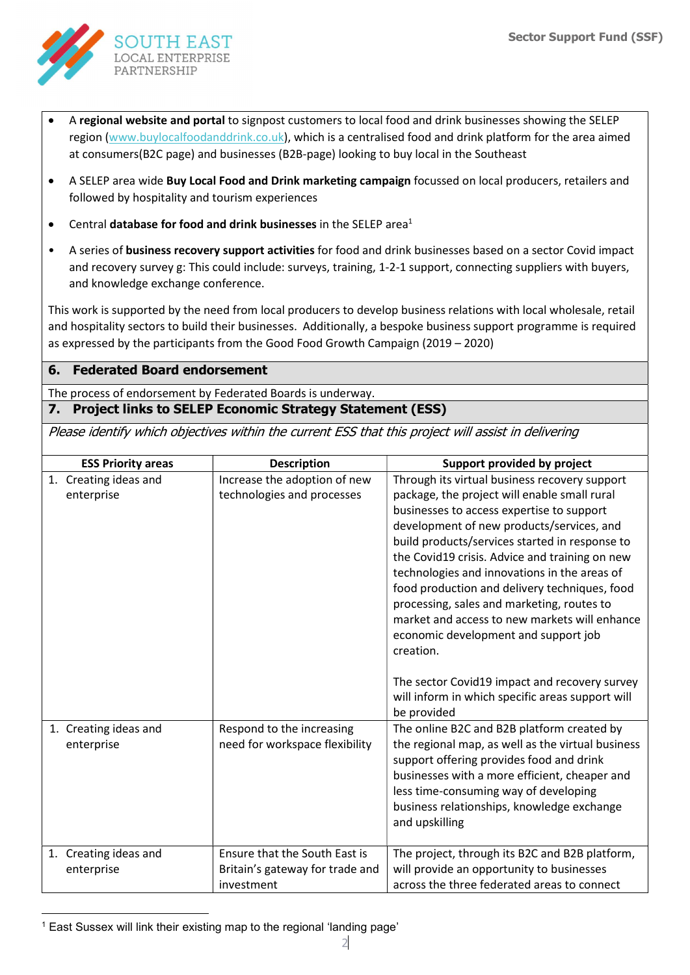

- A regional website and portal to signpost customers to local food and drink businesses showing the SELEP region (www.buylocalfoodanddrink.co.uk), which is a centralised food and drink platform for the area aimed at consumers(B2C page) and businesses (B2B-page) looking to buy local in the Southeast
- A SELEP area wide Buy Local Food and Drink marketing campaign focussed on local producers, retailers and followed by hospitality and tourism experiences
- Central database for food and drink businesses in the SELEP area<sup>1</sup>
- A series of business recovery support activities for food and drink businesses based on a sector Covid impact and recovery survey g: This could include: surveys, training, 1-2-1 support, connecting suppliers with buyers, and knowledge exchange conference.

This work is supported by the need from local producers to develop business relations with local wholesale, retail and hospitality sectors to build their businesses. Additionally, a bespoke business support programme is required as expressed by the participants from the Good Food Growth Campaign (2019 – 2020)

#### 6. Federated Board endorsement

The process of endorsement by Federated Boards is underway.

#### 7. Project links to SELEP Economic Strategy Statement (ESS)

Please identify which objectives within the current ESS that this project will assist in delivering

| <b>ESS Priority areas</b>           | <b>Description</b>                                                             | Support provided by project                                                                                                                                                                                                                                                                                                                                                                                                                                                                                                                      |
|-------------------------------------|--------------------------------------------------------------------------------|--------------------------------------------------------------------------------------------------------------------------------------------------------------------------------------------------------------------------------------------------------------------------------------------------------------------------------------------------------------------------------------------------------------------------------------------------------------------------------------------------------------------------------------------------|
| 1. Creating ideas and<br>enterprise | Increase the adoption of new<br>technologies and processes                     | Through its virtual business recovery support<br>package, the project will enable small rural<br>businesses to access expertise to support<br>development of new products/services, and<br>build products/services started in response to<br>the Covid19 crisis. Advice and training on new<br>technologies and innovations in the areas of<br>food production and delivery techniques, food<br>processing, sales and marketing, routes to<br>market and access to new markets will enhance<br>economic development and support job<br>creation. |
|                                     |                                                                                | The sector Covid19 impact and recovery survey<br>will inform in which specific areas support will<br>be provided                                                                                                                                                                                                                                                                                                                                                                                                                                 |
| 1. Creating ideas and<br>enterprise | Respond to the increasing<br>need for workspace flexibility                    | The online B2C and B2B platform created by<br>the regional map, as well as the virtual business<br>support offering provides food and drink<br>businesses with a more efficient, cheaper and<br>less time-consuming way of developing<br>business relationships, knowledge exchange<br>and upskilling                                                                                                                                                                                                                                            |
| 1. Creating ideas and<br>enterprise | Ensure that the South East is<br>Britain's gateway for trade and<br>investment | The project, through its B2C and B2B platform,<br>will provide an opportunity to businesses<br>across the three federated areas to connect                                                                                                                                                                                                                                                                                                                                                                                                       |

<sup>&</sup>lt;sup>1</sup> East Sussex will link their existing map to the regional 'landing page'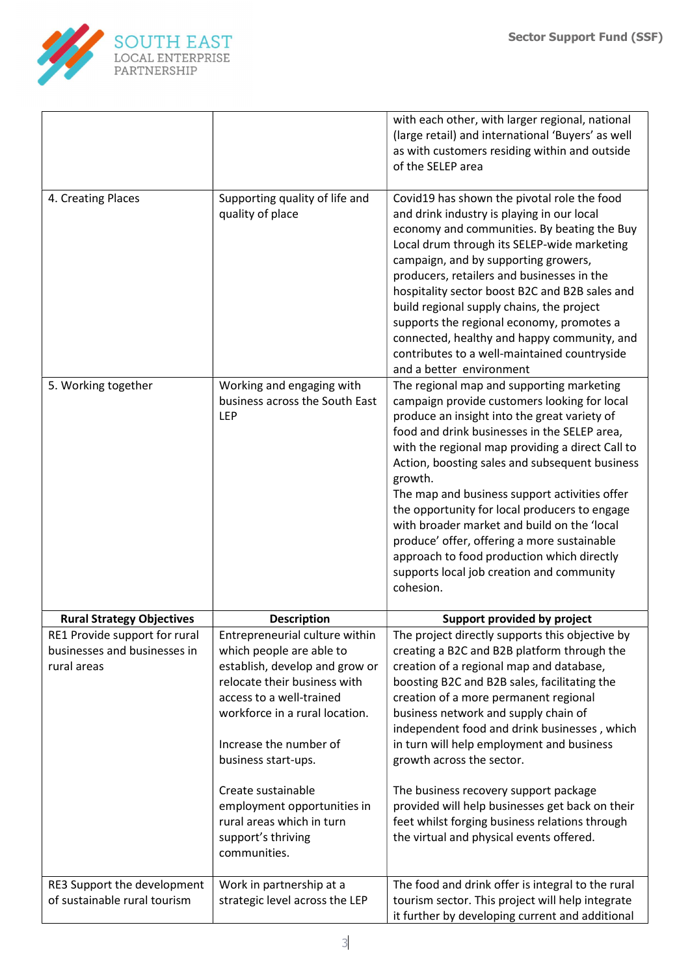

|                                                                              |                                                                                                                                                                                                                                                                                                                                                                     | with each other, with larger regional, national<br>(large retail) and international 'Buyers' as well<br>as with customers residing within and outside<br>of the SELEP area                                                                                                                                                                                                                                                                                                                                                                                                                                         |
|------------------------------------------------------------------------------|---------------------------------------------------------------------------------------------------------------------------------------------------------------------------------------------------------------------------------------------------------------------------------------------------------------------------------------------------------------------|--------------------------------------------------------------------------------------------------------------------------------------------------------------------------------------------------------------------------------------------------------------------------------------------------------------------------------------------------------------------------------------------------------------------------------------------------------------------------------------------------------------------------------------------------------------------------------------------------------------------|
| 4. Creating Places                                                           | Supporting quality of life and<br>quality of place                                                                                                                                                                                                                                                                                                                  | Covid19 has shown the pivotal role the food<br>and drink industry is playing in our local<br>economy and communities. By beating the Buy<br>Local drum through its SELEP-wide marketing<br>campaign, and by supporting growers,<br>producers, retailers and businesses in the<br>hospitality sector boost B2C and B2B sales and<br>build regional supply chains, the project<br>supports the regional economy, promotes a<br>connected, healthy and happy community, and<br>contributes to a well-maintained countryside<br>and a better environment                                                               |
| 5. Working together                                                          | Working and engaging with<br>business across the South East<br>LEP                                                                                                                                                                                                                                                                                                  | The regional map and supporting marketing<br>campaign provide customers looking for local<br>produce an insight into the great variety of<br>food and drink businesses in the SELEP area,<br>with the regional map providing a direct Call to<br>Action, boosting sales and subsequent business<br>growth.<br>The map and business support activities offer<br>the opportunity for local producers to engage<br>with broader market and build on the 'local<br>produce' offer, offering a more sustainable<br>approach to food production which directly<br>supports local job creation and community<br>cohesion. |
| <b>Rural Strategy Objectives</b>                                             | <b>Description</b>                                                                                                                                                                                                                                                                                                                                                  | Support provided by project                                                                                                                                                                                                                                                                                                                                                                                                                                                                                                                                                                                        |
| RE1 Provide support for rural<br>businesses and businesses in<br>rural areas | Entrepreneurial culture within<br>which people are able to<br>establish, develop and grow or<br>relocate their business with<br>access to a well-trained<br>workforce in a rural location.<br>Increase the number of<br>business start-ups.<br>Create sustainable<br>employment opportunities in<br>rural areas which in turn<br>support's thriving<br>communities. | The project directly supports this objective by<br>creating a B2C and B2B platform through the<br>creation of a regional map and database,<br>boosting B2C and B2B sales, facilitating the<br>creation of a more permanent regional<br>business network and supply chain of<br>independent food and drink businesses, which<br>in turn will help employment and business<br>growth across the sector.<br>The business recovery support package<br>provided will help businesses get back on their<br>feet whilst forging business relations through<br>the virtual and physical events offered.                    |
| RE3 Support the development<br>of sustainable rural tourism                  | Work in partnership at a<br>strategic level across the LEP                                                                                                                                                                                                                                                                                                          | The food and drink offer is integral to the rural<br>tourism sector. This project will help integrate<br>it further by developing current and additional                                                                                                                                                                                                                                                                                                                                                                                                                                                           |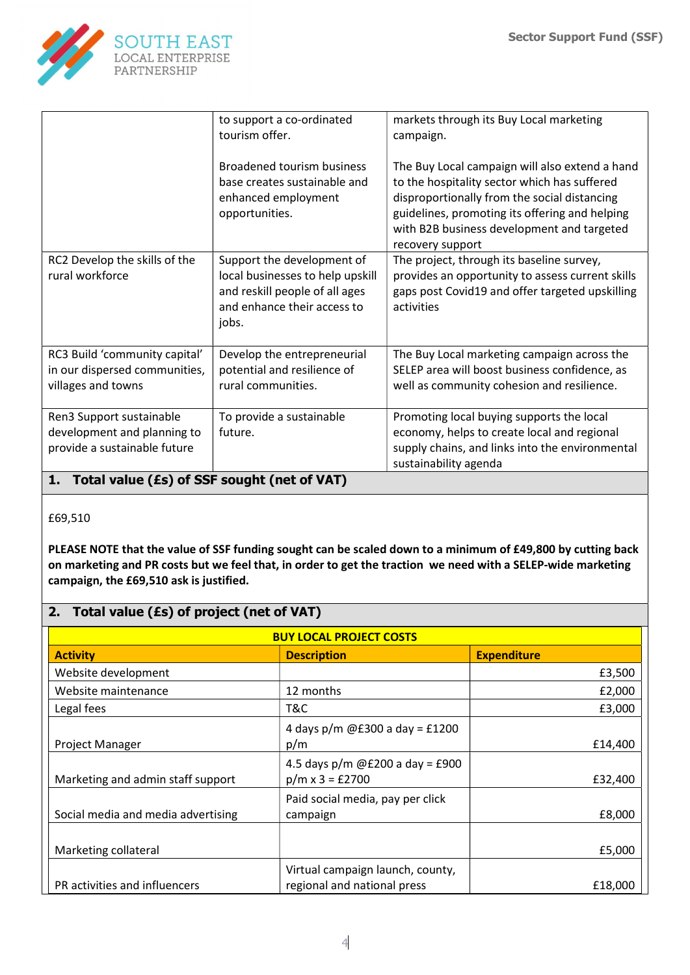

|                                                                                         | to support a co-ordinated<br>tourism offer.<br><b>Broadened tourism business</b>                                                         | markets through its Buy Local marketing<br>campaign.<br>The Buy Local campaign will also extend a hand                                                                                                           |
|-----------------------------------------------------------------------------------------|------------------------------------------------------------------------------------------------------------------------------------------|------------------------------------------------------------------------------------------------------------------------------------------------------------------------------------------------------------------|
|                                                                                         | base creates sustainable and<br>enhanced employment<br>opportunities.                                                                    | to the hospitality sector which has suffered<br>disproportionally from the social distancing<br>guidelines, promoting its offering and helping<br>with B2B business development and targeted<br>recovery support |
| RC2 Develop the skills of the<br>rural workforce                                        | Support the development of<br>local businesses to help upskill<br>and reskill people of all ages<br>and enhance their access to<br>jobs. | The project, through its baseline survey,<br>provides an opportunity to assess current skills<br>gaps post Covid19 and offer targeted upskilling<br>activities                                                   |
| RC3 Build 'community capital'<br>in our dispersed communities,<br>villages and towns    | Develop the entrepreneurial<br>potential and resilience of<br>rural communities.                                                         | The Buy Local marketing campaign across the<br>SELEP area will boost business confidence, as<br>well as community cohesion and resilience.                                                                       |
| Ren3 Support sustainable<br>development and planning to<br>provide a sustainable future | To provide a sustainable<br>future.                                                                                                      | Promoting local buying supports the local<br>economy, helps to create local and regional<br>supply chains, and links into the environmental<br>sustainability agenda                                             |

## 1. Total value (£s) of SSF sought (net of VAT)

#### £69,510

PLEASE NOTE that the value of SSF funding sought can be scaled down to a minimum of £49,800 by cutting back on marketing and PR costs but we feel that, in order to get the traction we need with a SELEP-wide marketing campaign, the £69,510 ask is justified.

# 2. Total value (£s) of project (net of VAT)

| <b>BUY LOCAL PROJECT COSTS</b>     |                                                                 |                    |  |  |
|------------------------------------|-----------------------------------------------------------------|--------------------|--|--|
| <b>Activity</b>                    | <b>Description</b>                                              | <b>Expenditure</b> |  |  |
| Website development                |                                                                 | £3,500             |  |  |
| Website maintenance                | 12 months                                                       | £2,000             |  |  |
| Legal fees                         | T&C                                                             | £3,000             |  |  |
| Project Manager                    | 4 days $p/m$ @£300 a day = £1200<br>p/m                         | £14,400            |  |  |
| Marketing and admin staff support  | 4.5 days $p/m$ @£200 a day = £900<br>$p/m \times 3 = £2700$     | £32,400            |  |  |
| Social media and media advertising | Paid social media, pay per click<br>campaign                    | £8,000             |  |  |
| Marketing collateral               |                                                                 | £5,000             |  |  |
| PR activities and influencers      | Virtual campaign launch, county,<br>regional and national press | £18,000            |  |  |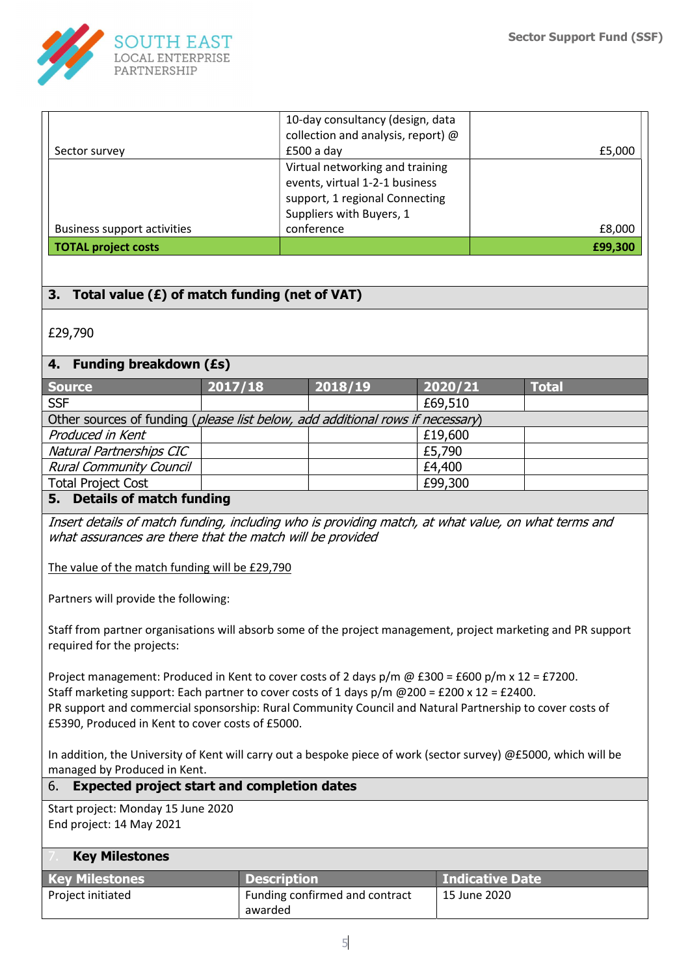

|                                    | 10-day consultancy (design, data     |         |
|------------------------------------|--------------------------------------|---------|
|                                    | collection and analysis, report) $@$ |         |
| Sector survey                      | $£500a$ day                          | £5,000  |
|                                    | Virtual networking and training      |         |
|                                    | events, virtual 1-2-1 business       |         |
|                                    | support, 1 regional Connecting       |         |
|                                    | Suppliers with Buyers, 1             |         |
| <b>Business support activities</b> | conference                           | £8,000  |
| <b>TOTAL project costs</b>         |                                      | £99,300 |

## 3. Total value  $(E)$  of match funding (net of VAT)

£29,790

## 4. Funding breakdown (£s)

| <b>Source</b>                                                                  | 2017/18 | 2018/19 | 2020/21 | <b>Total</b> |
|--------------------------------------------------------------------------------|---------|---------|---------|--------------|
| <b>SSF</b>                                                                     |         |         | £69,510 |              |
| Other sources of funding (please list below, add additional rows if necessary) |         |         |         |              |
| Produced in Kent                                                               |         |         | £19,600 |              |
| Natural Partnerships CIC                                                       |         |         | £5,790  |              |
| <b>Rural Community Council</b>                                                 |         |         | £4,400  |              |
| <b>Total Project Cost</b>                                                      |         |         | £99,300 |              |
|                                                                                |         |         |         |              |

## 5. Details of match funding

Insert details of match funding, including who is providing match, at what value, on what terms and what assurances are there that the match will be provided

The value of the match funding will be £29,790

Partners will provide the following:

Staff from partner organisations will absorb some of the project management, project marketing and PR support required for the projects:

Project management: Produced in Kent to cover costs of 2 days p/m @ £300 = £600 p/m x 12 = £7200. Staff marketing support: Each partner to cover costs of 1 days  $p/m \omega$  200 = £200 x 12 = £2400. PR support and commercial sponsorship: Rural Community Council and Natural Partnership to cover costs of £5390, Produced in Kent to cover costs of £5000.

In addition, the University of Kent will carry out a bespoke piece of work (sector survey) @£5000, which will be managed by Produced in Kent.

#### 6. Expected project start and completion dates

Start project: Monday 15 June 2020 End project: 14 May 2021

#### **Key Milestones**

| <b>Key Milestones</b> | <b>Description</b>             | <b>Indicative Date</b> |
|-----------------------|--------------------------------|------------------------|
| Project initiated     | Funding confirmed and contract | 15 June 2020           |
|                       | awarded                        |                        |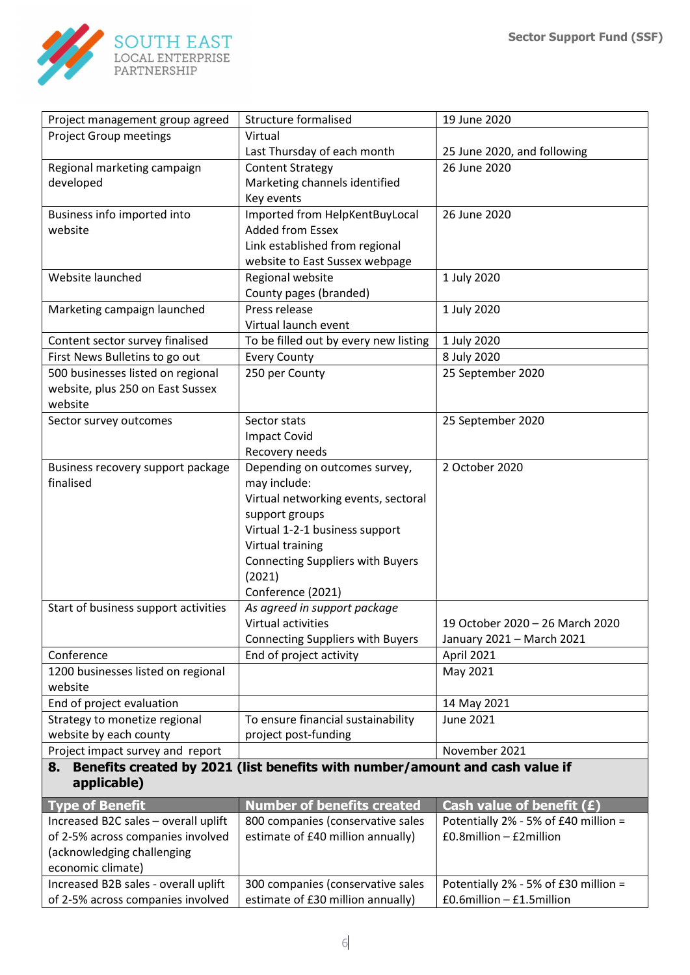

| Project management group agreed      | <b>Structure formalised</b>                                                  | 19 June 2020                         |
|--------------------------------------|------------------------------------------------------------------------------|--------------------------------------|
| <b>Project Group meetings</b>        | Virtual                                                                      |                                      |
|                                      | Last Thursday of each month                                                  | 25 June 2020, and following          |
| Regional marketing campaign          | <b>Content Strategy</b>                                                      | 26 June 2020                         |
| developed                            | Marketing channels identified                                                |                                      |
|                                      | Key events                                                                   |                                      |
| Business info imported into          | Imported from HelpKentBuyLocal                                               | 26 June 2020                         |
| website                              | <b>Added from Essex</b>                                                      |                                      |
|                                      | Link established from regional                                               |                                      |
|                                      | website to East Sussex webpage                                               |                                      |
| Website launched                     | Regional website                                                             | 1 July 2020                          |
|                                      | County pages (branded)                                                       |                                      |
| Marketing campaign launched          | Press release                                                                | 1 July 2020                          |
|                                      | Virtual launch event                                                         |                                      |
| Content sector survey finalised      | To be filled out by every new listing                                        | 1 July 2020                          |
| First News Bulletins to go out       | <b>Every County</b>                                                          | 8 July 2020                          |
| 500 businesses listed on regional    | 250 per County                                                               | 25 September 2020                    |
| website, plus 250 on East Sussex     |                                                                              |                                      |
| website                              |                                                                              |                                      |
| Sector survey outcomes               | Sector stats                                                                 | 25 September 2020                    |
|                                      | <b>Impact Covid</b>                                                          |                                      |
|                                      | Recovery needs                                                               |                                      |
| Business recovery support package    | Depending on outcomes survey,                                                | 2 October 2020                       |
| finalised                            | may include:                                                                 |                                      |
|                                      | Virtual networking events, sectoral                                          |                                      |
|                                      | support groups                                                               |                                      |
|                                      | Virtual 1-2-1 business support                                               |                                      |
|                                      | Virtual training                                                             |                                      |
|                                      | <b>Connecting Suppliers with Buyers</b>                                      |                                      |
|                                      | (2021)                                                                       |                                      |
|                                      | Conference (2021)                                                            |                                      |
| Start of business support activities | As agreed in support package                                                 |                                      |
|                                      | Virtual activities                                                           | 19 October 2020 - 26 March 2020      |
|                                      | <b>Connecting Suppliers with Buyers</b>                                      | January 2021 - March 2021            |
| Conference                           | End of project activity                                                      | April 2021                           |
| 1200 businesses listed on regional   |                                                                              | May 2021                             |
| website                              |                                                                              |                                      |
| End of project evaluation            |                                                                              | 14 May 2021                          |
| Strategy to monetize regional        | To ensure financial sustainability                                           | <b>June 2021</b>                     |
| website by each county               | project post-funding                                                         |                                      |
| Project impact survey and report     |                                                                              | November 2021                        |
| 8.                                   | Benefits created by 2021 (list benefits with number/amount and cash value if |                                      |
| applicable)                          |                                                                              |                                      |
| <b>Type of Benefit</b>               | <b>Number of benefits created</b>                                            | Cash value of benefit (£)            |
| Increased B2C sales - overall uplift | 800 companies (conservative sales                                            | Potentially 2% - 5% of £40 million = |
| of 2-5% across companies involved    | estimate of £40 million annually)                                            | £0.8million - £2million              |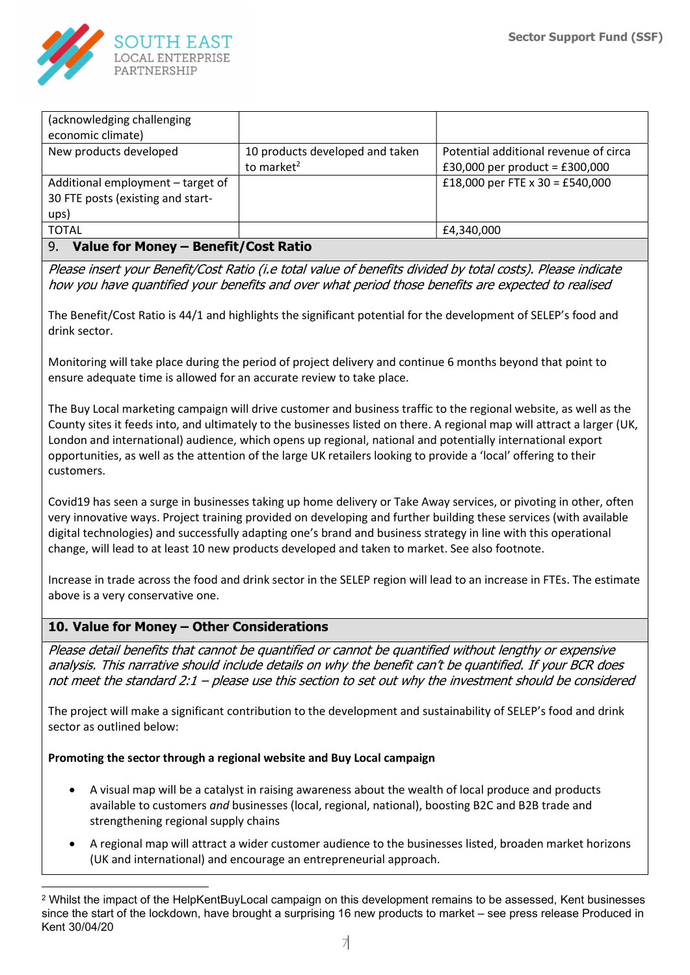

| (acknowledging challenging                 |                                 |                                       |  |  |  |
|--------------------------------------------|---------------------------------|---------------------------------------|--|--|--|
| economic climate)                          |                                 |                                       |  |  |  |
| New products developed                     | 10 products developed and taken | Potential additional revenue of circa |  |  |  |
|                                            | to market <sup>2</sup>          | £30,000 per product = £300,000        |  |  |  |
| Additional employment - target of          |                                 | £18,000 per FTE x 30 = £540,000       |  |  |  |
| 30 FTE posts (existing and start-          |                                 |                                       |  |  |  |
| ups)                                       |                                 |                                       |  |  |  |
| <b>TOTAL</b>                               |                                 | £4,340,000                            |  |  |  |
| 9.<br>Value for Money - Benefit/Cost Ratio |                                 |                                       |  |  |  |

Please insert your Benefit/Cost Ratio (i.e total value of benefits divided by total costs). Please indicate how you have quantified your benefits and over what period those benefits are expected to realised

The Benefit/Cost Ratio is 44/1 and highlights the significant potential for the development of SELEP's food and drink sector.

Monitoring will take place during the period of project delivery and continue 6 months beyond that point to ensure adequate time is allowed for an accurate review to take place.

The Buy Local marketing campaign will drive customer and business traffic to the regional website, as well as the County sites it feeds into, and ultimately to the businesses listed on there. A regional map will attract a larger (UK, London and international) audience, which opens up regional, national and potentially international export opportunities, as well as the attention of the large UK retailers looking to provide a 'local' offering to their customers.

Covid19 has seen a surge in businesses taking up home delivery or Take Away services, or pivoting in other, often very innovative ways. Project training provided on developing and further building these services (with available digital technologies) and successfully adapting one's brand and business strategy in line with this operational change, will lead to at least 10 new products developed and taken to market. See also footnote.

Increase in trade across the food and drink sector in the SELEP region will lead to an increase in FTEs. The estimate above is a very conservative one.

## 10. Value for Money – Other Considerations

Please detail benefits that cannot be quantified or cannot be quantified without lengthy or expensive analysis. This narrative should include details on why the benefit can't be quantified. If your BCR does not meet the standard 2:1 – please use this section to set out why the investment should be considered

The project will make a significant contribution to the development and sustainability of SELEP's food and drink sector as outlined below:

#### Promoting the sector through a regional website and Buy Local campaign

- A visual map will be a catalyst in raising awareness about the wealth of local produce and products available to customers and businesses (local, regional, national), boosting B2C and B2B trade and strengthening regional supply chains
- A regional map will attract a wider customer audience to the businesses listed, broaden market horizons (UK and international) and encourage an entrepreneurial approach.

<sup>2</sup> Whilst the impact of the HelpKentBuyLocal campaign on this development remains to be assessed, Kent businesses since the start of the lockdown, have brought a surprising 16 new products to market – see press release Produced in Kent 30/04/20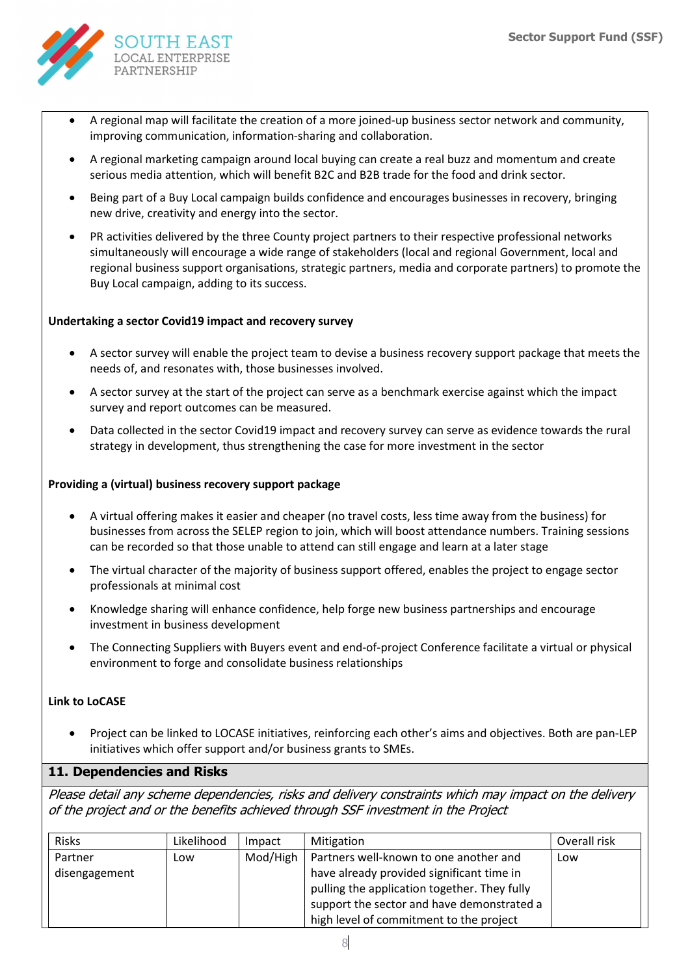

- A regional map will facilitate the creation of a more joined-up business sector network and community, improving communication, information-sharing and collaboration.
- A regional marketing campaign around local buying can create a real buzz and momentum and create serious media attention, which will benefit B2C and B2B trade for the food and drink sector.
- Being part of a Buy Local campaign builds confidence and encourages businesses in recovery, bringing new drive, creativity and energy into the sector.
- PR activities delivered by the three County project partners to their respective professional networks simultaneously will encourage a wide range of stakeholders (local and regional Government, local and regional business support organisations, strategic partners, media and corporate partners) to promote the Buy Local campaign, adding to its success.

#### Undertaking a sector Covid19 impact and recovery survey

- A sector survey will enable the project team to devise a business recovery support package that meets the needs of, and resonates with, those businesses involved.
- A sector survey at the start of the project can serve as a benchmark exercise against which the impact survey and report outcomes can be measured.
- Data collected in the sector Covid19 impact and recovery survey can serve as evidence towards the rural strategy in development, thus strengthening the case for more investment in the sector

#### Providing a (virtual) business recovery support package

- A virtual offering makes it easier and cheaper (no travel costs, less time away from the business) for businesses from across the SELEP region to join, which will boost attendance numbers. Training sessions can be recorded so that those unable to attend can still engage and learn at a later stage
- The virtual character of the majority of business support offered, enables the project to engage sector professionals at minimal cost
- Knowledge sharing will enhance confidence, help forge new business partnerships and encourage investment in business development
- The Connecting Suppliers with Buyers event and end-of-project Conference facilitate a virtual or physical environment to forge and consolidate business relationships

#### Link to LoCASE

 Project can be linked to LOCASE initiatives, reinforcing each other's aims and objectives. Both are pan-LEP initiatives which offer support and/or business grants to SMEs.

#### 11. Dependencies and Risks

Please detail any scheme dependencies, risks and delivery constraints which may impact on the delivery of the project and or the benefits achieved through SSF investment in the Project

| <b>Risks</b>  | Likelihood | Impact   | Mitigation                                   | Overall risk |
|---------------|------------|----------|----------------------------------------------|--------------|
| Partner       | Low        | Mod/High | Partners well-known to one another and       | Low          |
| disengagement |            |          | have already provided significant time in    |              |
|               |            |          | pulling the application together. They fully |              |
|               |            |          | support the sector and have demonstrated a   |              |
|               |            |          | high level of commitment to the project      |              |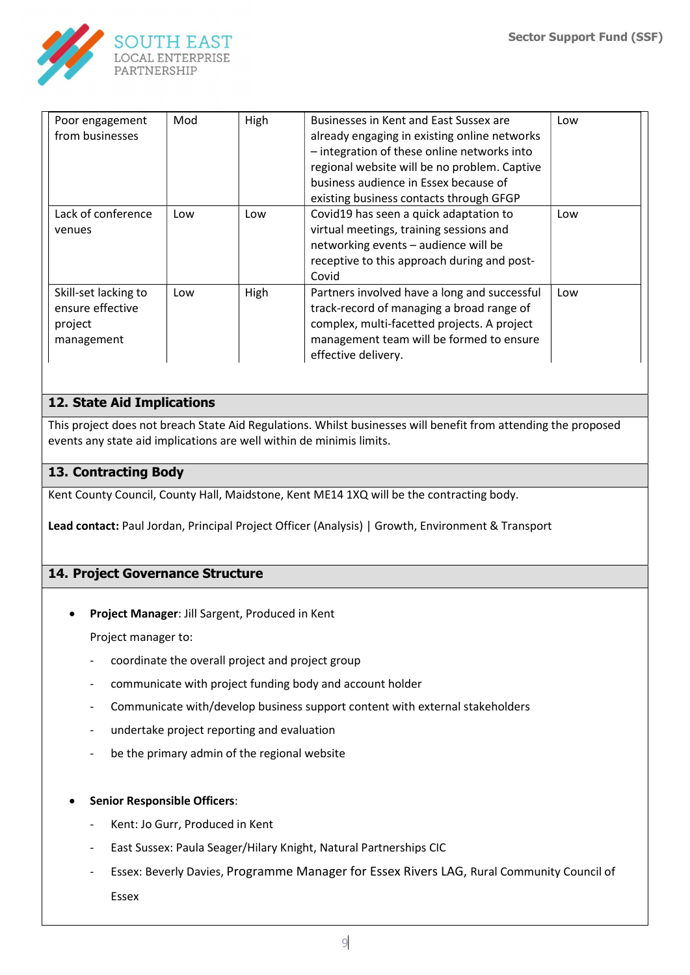

| Poor engagement<br>from businesses                                | Mod | High | Businesses in Kent and East Sussex are<br>already engaging in existing online networks<br>- integration of these online networks into<br>regional website will be no problem. Captive<br>business audience in Essex because of<br>existing business contacts through GFGP | Low |
|-------------------------------------------------------------------|-----|------|---------------------------------------------------------------------------------------------------------------------------------------------------------------------------------------------------------------------------------------------------------------------------|-----|
| Lack of conference<br>venues                                      | Low | Low  | Covid19 has seen a quick adaptation to<br>virtual meetings, training sessions and<br>networking events - audience will be<br>receptive to this approach during and post-<br>Covid                                                                                         | Low |
| Skill-set lacking to<br>ensure effective<br>project<br>management | Low | High | Partners involved have a long and successful<br>track-record of managing a broad range of<br>complex, multi-facetted projects. A project<br>management team will be formed to ensure<br>effective delivery.                                                               | Low |

## 12. State Aid Implications

This project does not breach State Aid Regulations. Whilst businesses will benefit from attending the proposed events any state aid implications are well within de minimis limits.

#### 13. Contracting Body

Kent County Council, County Hall, Maidstone, Kent ME14 1XQ will be the contracting body.

Lead contact: Paul Jordan, Principal Project Officer (Analysis) | Growth, Environment & Transport

#### 14. Project Governance Structure

• Project Manager: Jill Sargent, Produced in Kent

Project manager to:

- coordinate the overall project and project group
- communicate with project funding body and account holder
- Communicate with/develop business support content with external stakeholders
- undertake project reporting and evaluation
- be the primary admin of the regional website
- Senior Responsible Officers:
	- Kent: Jo Gurr, Produced in Kent
	- East Sussex: Paula Seager/Hilary Knight, Natural Partnerships CIC
	- Essex: Beverly Davies, Programme Manager for Essex Rivers LAG, Rural Community Council of Essex